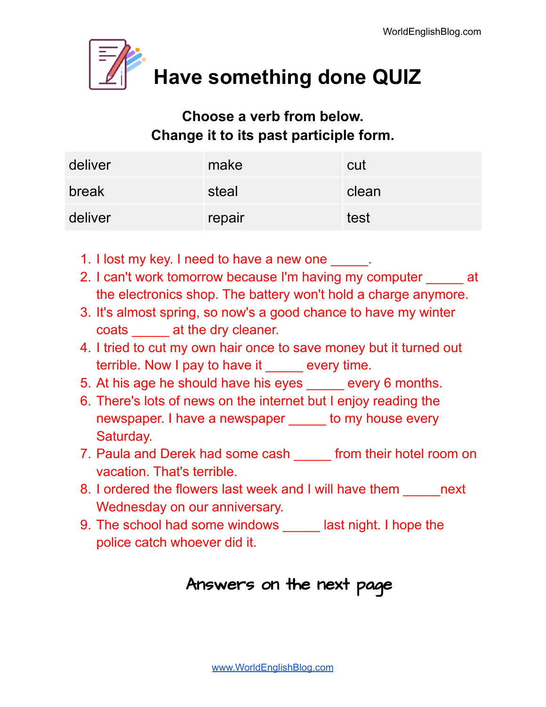

**Have something done QUIZ**

#### **Choose a verb from below. Change it to its past participle form.**

| deliver | make   | cut   |
|---------|--------|-------|
| break   | steal  | clean |
| deliver | repair | test  |

- 1. I lost my key. I need to have a new one  $\qquad \qquad$ .
- 2. I can't work tomorrow because I'm having my computer at the electronics shop. The battery won't hold a charge anymore.
- 3. It's almost spring, so now's a good chance to have my winter coats **at the dry cleaner.**
- 4. I tried to cut my own hair once to save money but it turned out terrible. Now I pay to have it \_\_\_\_\_ every time.
- 5. At his age he should have his eyes every 6 months.
- 6. There's lots of news on the internet but I enjoy reading the newspaper. I have a newspaper to my house every Saturday.
- 7. Paula and Derek had some cash \_\_\_\_\_\_ from their hotel room on vacation. That's terrible.
- 8. I ordered the flowers last week and I will have them ext Wednesday on our anniversary.
- 9. The school had some windows \_\_\_\_\_ last night. I hope the police catch whoever did it.

#### Answers on the next page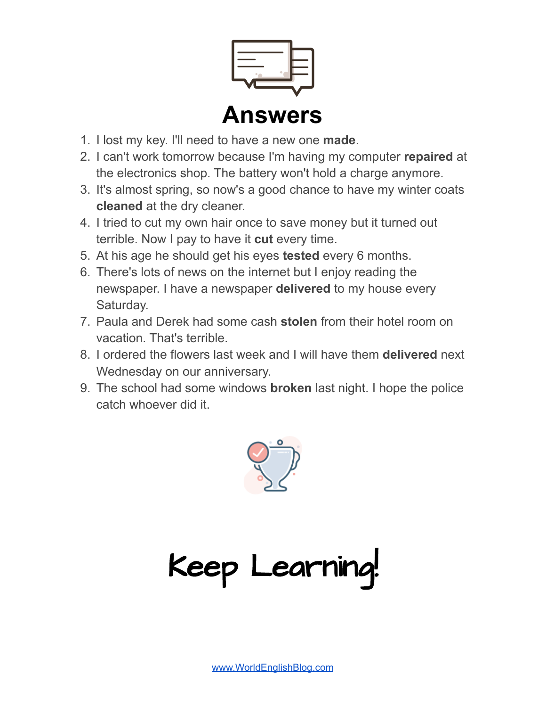

- 1. I lost my key. I'll need to have a new one **made**.
- 2. I can't work tomorrow because I'm having my computer **repaired** at the electronics shop. The battery won't hold a charge anymore.
- 3. It's almost spring, so now's a good chance to have my winter coats **cleaned** at the dry cleaner.
- 4. I tried to cut my own hair once to save money but it turned out terrible. Now I pay to have it **cut** every time.
- 5. At his age he should get his eyes **tested** every 6 months.
- 6. There's lots of news on the internet but I enjoy reading the newspaper. I have a newspaper **delivered** to my house every Saturday.
- 7. Paula and Derek had some cash **stolen** from their hotel room on vacation. That's terrible.
- 8. I ordered the flowers last week and I will have them **delivered** next Wednesday on our anniversary.
- 9. The school had some windows **broken** last night. I hope the police catch whoever did it.



Keep Learning!